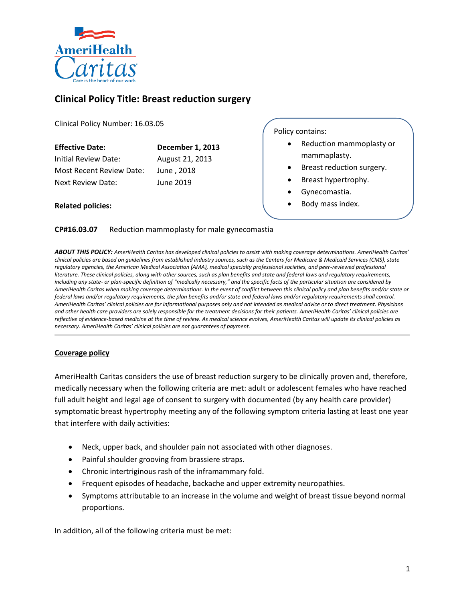

# **Clinical Policy Title: Breast reduction surgery**

Clinical Policy Number: 16.03.05

| <b>Effective Date:</b>   | December 1, 2013 |
|--------------------------|------------------|
| Initial Review Date:     | August 21, 2013  |
| Most Recent Review Date: | June, 2018       |
| Next Review Date:        | June 2019        |

**Related policies:** 

Policy contains:

- Reduction mammoplasty or mammaplasty.
- Breast reduction surgery.
- Breast hypertrophy.
- Gynecomastia.
- Body mass index.

### **CP#16.03.07** Reduction mammoplasty for male gynecomastia

*ABOUT THIS POLICY: AmeriHealth Caritas has developed clinical policies to assist with making coverage determinations. AmeriHealth Caritas' clinical policies are based on guidelines from established industry sources, such as the Centers for Medicare & Medicaid Services (CMS), state regulatory agencies, the American Medical Association (AMA), medical specialty professional societies, and peer-reviewed professional literature. These clinical policies, along with other sources, such as plan benefits and state and federal laws and regulatory requirements, including any state- or plan-specific definition of "medically necessary," and the specific facts of the particular situation are considered by AmeriHealth Caritas when making coverage determinations. In the event of conflict between this clinical policy and plan benefits and/or state or federal laws and/or regulatory requirements, the plan benefits and/or state and federal laws and/or regulatory requirements shall control. AmeriHealth Caritas' clinical policies are for informational purposes only and not intended as medical advice or to direct treatment. Physicians and other health care providers are solely responsible for the treatment decisions for their patients. AmeriHealth Caritas' clinical policies are reflective of evidence-based medicine at the time of review. As medical science evolves, AmeriHealth Caritas will update its clinical policies as necessary. AmeriHealth Caritas' clinical policies are not guarantees of payment.* 

#### **Coverage policy**

AmeriHealth Caritas considers the use of breast reduction surgery to be clinically proven and, therefore, medically necessary when the following criteria are met: adult or adolescent females who have reached full adult height and legal age of consent to surgery with documented (by any health care provider) symptomatic breast hypertrophy meeting any of the following symptom criteria lasting at least one year that interfere with daily activities:

- Neck, upper back, and shoulder pain not associated with other diagnoses.
- Painful shoulder grooving from brassiere straps.
- Chronic intertriginous rash of the inframammary fold.
- Frequent episodes of headache, backache and upper extremity neuropathies.
- Symptoms attributable to an increase in the volume and weight of breast tissue beyond normal proportions.

In addition, all of the following criteria must be met: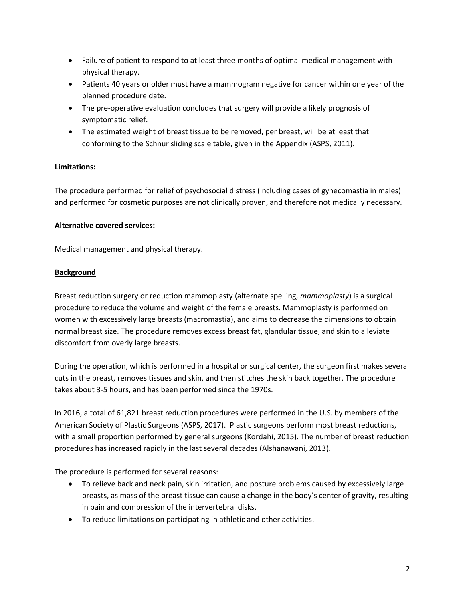- Failure of patient to respond to at least three months of optimal medical management with physical therapy.
- Patients 40 years or older must have a mammogram negative for cancer within one year of the planned procedure date.
- The pre-operative evaluation concludes that surgery will provide a likely prognosis of symptomatic relief.
- The estimated weight of breast tissue to be removed, per breast, will be at least that conforming to the Schnur sliding scale table, given in the Appendix (ASPS, 2011).

# **Limitations:**

The procedure performed for relief of psychosocial distress (including cases of gynecomastia in males) and performed for cosmetic purposes are not clinically proven, and therefore not medically necessary.

# **Alternative covered services:**

Medical management and physical therapy.

# **Background**

Breast reduction surgery or reduction mammoplasty (alternate spelling, *mammaplasty*) is a surgical procedure to reduce the volume and weight of the female breasts. Mammoplasty is performed on women with excessively large breasts (macromastia), and aims to decrease the dimensions to obtain normal breast size. The procedure removes excess breast fat, glandular tissue, and skin to alleviate discomfort from overly large breasts.

During the operation, which is performed in a hospital or surgical center, the surgeon first makes several cuts in the breast, removes tissues and skin, and then stitches the skin back together. The procedure takes about 3-5 hours, and has been performed since the 1970s.

In 2016, a total of 61,821 breast reduction procedures were performed in the U.S. by members of the American Society of Plastic Surgeons (ASPS, 2017). Plastic surgeons perform most breast reductions, with a small proportion performed by general surgeons (Kordahi, 2015). The number of breast reduction procedures has increased rapidly in the last several decades (Alshanawani, 2013).

The procedure is performed for several reasons:

- To relieve back and neck pain, skin irritation, and posture problems caused by excessively large breasts, as mass of the breast tissue can cause a change in the body's center of gravity, resulting in pain and compression of the intervertebral disks.
- To reduce limitations on participating in athletic and other activities.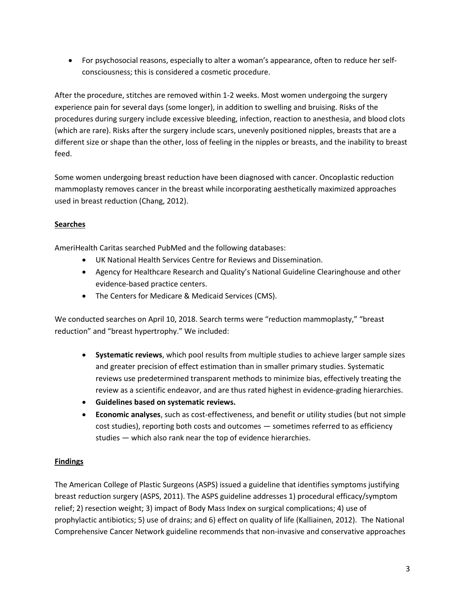For psychosocial reasons, especially to alter a woman's appearance, often to reduce her selfconsciousness; this is considered a cosmetic procedure.

After the procedure, stitches are removed within 1-2 weeks. Most women undergoing the surgery experience pain for several days (some longer), in addition to swelling and bruising. Risks of the procedures during surgery include excessive bleeding, infection, reaction to anesthesia, and blood clots (which are rare). Risks after the surgery include scars, unevenly positioned nipples, breasts that are a different size or shape than the other, loss of feeling in the nipples or breasts, and the inability to breast feed.

Some women undergoing breast reduction have been diagnosed with cancer. Oncoplastic reduction mammoplasty removes cancer in the breast while incorporating aesthetically maximized approaches used in breast reduction (Chang, 2012).

# **Searches**

AmeriHealth Caritas searched PubMed and the following databases:

- UK National Health Services Centre for Reviews and Dissemination.
- Agency for Healthcare Research and Quality's National Guideline Clearinghouse and other evidence-based practice centers.
- The Centers for Medicare & Medicaid Services (CMS).

We conducted searches on April 10, 2018. Search terms were "reduction mammoplasty," "breast reduction" and "breast hypertrophy." We included:

- **Systematic reviews**, which pool results from multiple studies to achieve larger sample sizes and greater precision of effect estimation than in smaller primary studies. Systematic reviews use predetermined transparent methods to minimize bias, effectively treating the review as a scientific endeavor, and are thus rated highest in evidence-grading hierarchies.
- **Guidelines based on systematic reviews.**
- **Economic analyses**, such as cost-effectiveness, and benefit or utility studies (but not simple cost studies), reporting both costs and outcomes — sometimes referred to as efficiency studies — which also rank near the top of evidence hierarchies.

# **Findings**

The American College of Plastic Surgeons (ASPS) issued a guideline that identifies symptoms justifying breast reduction surgery (ASPS, 2011). The ASPS guideline addresses 1) procedural efficacy/symptom relief; 2) resection weight; 3) impact of Body Mass Index on surgical complications; 4) use of prophylactic antibiotics; 5) use of drains; and 6) effect on quality of life (Kalliainen, 2012). The National Comprehensive Cancer Network guideline recommends that non-invasive and conservative approaches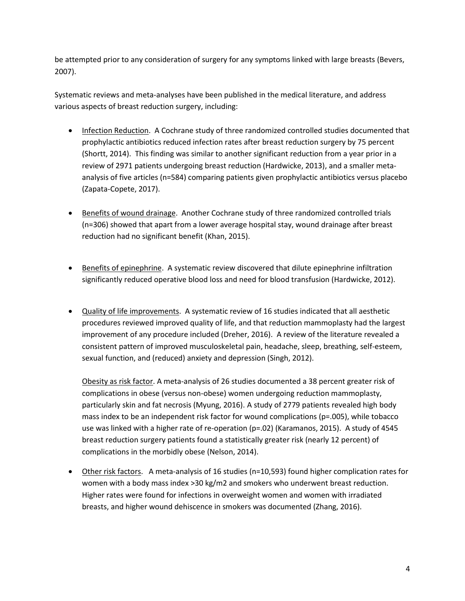be attempted prior to any consideration of surgery for any symptoms linked with large breasts (Bevers, 2007).

Systematic reviews and meta-analyses have been published in the medical literature, and address various aspects of breast reduction surgery, including:

- Infection Reduction. A Cochrane study of three randomized controlled studies documented that prophylactic antibiotics reduced infection rates after breast reduction surgery by 75 percent (Shortt, 2014). This finding was similar to another significant reduction from a year prior in a review of 2971 patients undergoing breast reduction (Hardwicke, 2013), and a smaller metaanalysis of five articles (n=584) comparing patients given prophylactic antibiotics versus placebo (Zapata-Copete, 2017).
- **Benefits of wound drainage. Another Cochrane study of three randomized controlled trials** (n=306) showed that apart from a lower average hospital stay, wound drainage after breast reduction had no significant benefit (Khan, 2015).
- Benefits of epinephrine. A systematic review discovered that dilute epinephrine infiltration significantly reduced operative blood loss and need for blood transfusion (Hardwicke, 2012).
- Quality of life improvements. A systematic review of 16 studies indicated that all aesthetic procedures reviewed improved quality of life, and that reduction mammoplasty had the largest improvement of any procedure included (Dreher, 2016). A review of the literature revealed a consistent pattern of improved musculoskeletal pain, headache, sleep, breathing, self-esteem, sexual function, and (reduced) anxiety and depression (Singh, 2012).

Obesity as risk factor. A meta-analysis of 26 studies documented a 38 percent greater risk of complications in obese (versus non-obese) women undergoing reduction mammoplasty, particularly skin and fat necrosis (Myung, 2016). A study of 2779 patients revealed high body mass index to be an independent risk factor for wound complications (p=.005), while tobacco use was linked with a higher rate of re-operation (p=.02) (Karamanos, 2015). A study of 4545 breast reduction surgery patients found a statistically greater risk (nearly 12 percent) of complications in the morbidly obese (Nelson, 2014).

 Other risk factors. A meta-analysis of 16 studies (n=10,593) found higher complication rates for women with a body mass index >30 kg/m2 and smokers who underwent breast reduction. Higher rates were found for infections in overweight women and women with irradiated breasts, and higher wound dehiscence in smokers was documented (Zhang, 2016).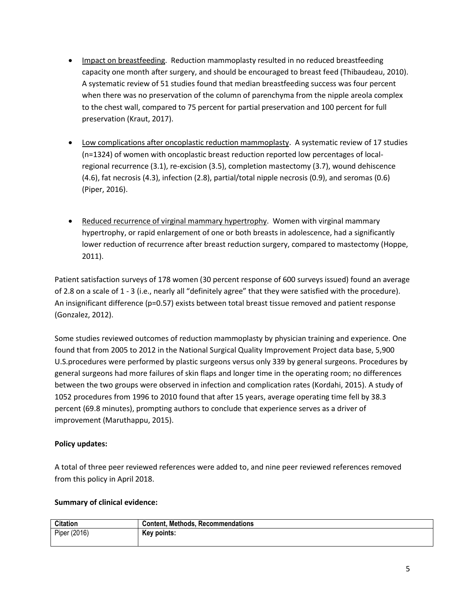- Impact on breastfeeding. Reduction mammoplasty resulted in no reduced breastfeeding capacity one month after surgery, and should be encouraged to breast feed (Thibaudeau, 2010). A systematic review of 51 studies found that median breastfeeding success was four percent when there was no preservation of the column of parenchyma from the nipple areola complex to the chest wall, compared to 75 percent for partial preservation and 100 percent for full preservation (Kraut, 2017).
- Low complications after oncoplastic reduction mammoplasty. A systematic review of 17 studies (n=1324) of women with oncoplastic breast reduction reported low percentages of localregional recurrence (3.1), re-excision (3.5), completion mastectomy (3.7), wound dehiscence (4.6), fat necrosis (4.3), infection (2.8), partial/total nipple necrosis (0.9), and seromas (0.6) (Piper, 2016).
- Reduced recurrence of virginal mammary hypertrophy. Women with virginal mammary hypertrophy, or rapid enlargement of one or both breasts in adolescence, had a significantly lower reduction of recurrence after breast reduction surgery, compared to mastectomy (Hoppe, 2011).

Patient satisfaction surveys of 178 women (30 percent response of 600 surveys issued) found an average of 2.8 on a scale of 1 - 3 (i.e., nearly all "definitely agree" that they were satisfied with the procedure). An insignificant difference (p=0.57) exists between total breast tissue removed and patient response (Gonzalez, 2012).

Some studies reviewed outcomes of reduction mammoplasty by physician training and experience. One found that from 2005 to 2012 in the National Surgical Quality Improvement Project data base, 5,900 U.S.procedures were performed by plastic surgeons versus only 339 by general surgeons. Procedures by general surgeons had more failures of skin flaps and longer time in the operating room; no differences between the two groups were observed in infection and complication rates (Kordahi, 2015). A study of 1052 procedures from 1996 to 2010 found that after 15 years, average operating time fell by 38.3 percent (69.8 minutes), prompting authors to conclude that experience serves as a driver of improvement (Maruthappu, 2015).

### **Policy updates:**

A total of three peer reviewed references were added to, and nine peer reviewed references removed from this policy in April 2018.

### **Summary of clinical evidence:**

| <b>Citation</b> | <b>Content, Methods, Recommendations</b> |
|-----------------|------------------------------------------|
| Piper (2016)    | Key points:                              |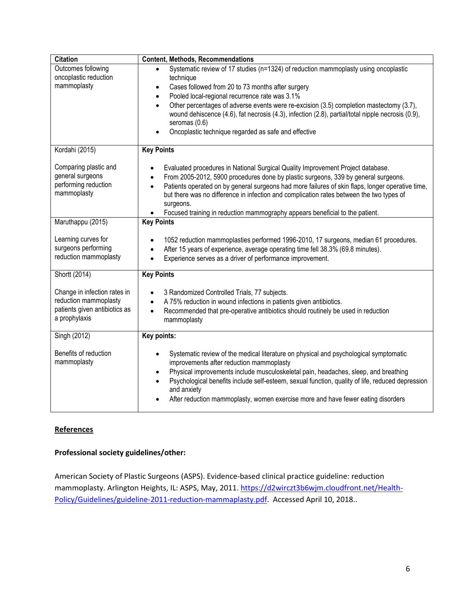| <b>Citation</b>                                                                                         | <b>Content, Methods, Recommendations</b>                                                                                                                                                                                                                                                                                                                                                                                                                                                                  |
|---------------------------------------------------------------------------------------------------------|-----------------------------------------------------------------------------------------------------------------------------------------------------------------------------------------------------------------------------------------------------------------------------------------------------------------------------------------------------------------------------------------------------------------------------------------------------------------------------------------------------------|
| Outcomes following                                                                                      | Systematic review of 17 studies (n=1324) of reduction mammoplasty using oncoplastic                                                                                                                                                                                                                                                                                                                                                                                                                       |
| oncoplastic reduction                                                                                   | technique                                                                                                                                                                                                                                                                                                                                                                                                                                                                                                 |
| mammoplasty                                                                                             | Cases followed from 20 to 73 months after surgery<br>$\bullet$                                                                                                                                                                                                                                                                                                                                                                                                                                            |
|                                                                                                         | Pooled local-regional recurrence rate was 3.1%<br>$\bullet$                                                                                                                                                                                                                                                                                                                                                                                                                                               |
|                                                                                                         | Other percentages of adverse events were re-excision (3.5) completion mastectomy (3.7),<br>$\bullet$<br>wound dehiscence (4.6), fat necrosis (4.3), infection (2.8), partial/total nipple necrosis (0.9),<br>seromas (0.6)<br>Oncoplastic technique regarded as safe and effective                                                                                                                                                                                                                        |
| Kordahi (2015)                                                                                          | <b>Key Points</b>                                                                                                                                                                                                                                                                                                                                                                                                                                                                                         |
| Comparing plastic and<br>general surgeons<br>performing reduction<br>mammoplasty                        | Evaluated procedures in National Surgical Quality Improvement Project database.<br>$\bullet$<br>From 2005-2012, 5900 procedures done by plastic surgeons, 339 by general surgeons.<br>$\bullet$<br>Patients operated on by general surgeons had more failures of skin flaps, longer operative time,<br>$\bullet$<br>but there was no difference in infection and complication rates between the two types of<br>surgeons.<br>Focused training in reduction mammography appears beneficial to the patient. |
| Maruthappu (2015)                                                                                       | <b>Key Points</b>                                                                                                                                                                                                                                                                                                                                                                                                                                                                                         |
| Learning curves for<br>surgeons performing<br>reduction mammoplasty                                     | 1052 reduction mammoplasties performed 1996-2010, 17 surgeons, median 61 procedures.<br>After 15 years of experience, average operating time fell 38.3% (69.8 minutes).<br>$\bullet$<br>Experience serves as a driver of performance improvement.<br>$\bullet$                                                                                                                                                                                                                                            |
| Shortt (2014)                                                                                           | <b>Key Points</b>                                                                                                                                                                                                                                                                                                                                                                                                                                                                                         |
| Change in infection rates in<br>reduction mammoplasty<br>patients given antibiotics as<br>a prophylaxis | 3 Randomized Controlled Trials, 77 subjects.<br>$\bullet$<br>A 75% reduction in wound infections in patients given antibiotics.<br>$\bullet$<br>Recommended that pre-operative antibiotics should routinely be used in reduction<br>$\bullet$<br>mammoplasty                                                                                                                                                                                                                                              |
| Singh (2012)                                                                                            | Key points:                                                                                                                                                                                                                                                                                                                                                                                                                                                                                               |
| Benefits of reduction<br>mammoplasty                                                                    | Systematic review of the medical literature on physical and psychological symptomatic<br>$\bullet$<br>improvements after reduction mammoplasty<br>Physical improvements include musculoskeletal pain, headaches, sleep, and breathing<br>$\bullet$<br>Psychological benefits include self-esteem, sexual function, quality of life, reduced depression<br>$\bullet$<br>and anxiety<br>After reduction mammoplasty, women exercise more and have fewer eating disorders                                    |

### **References**

# **Professional society guidelines/other:**

American Society of Plastic Surgeons (ASPS). Evidence-based clinical practice guideline: reduction mammoplasty. Arlington Heights, IL: ASPS, May, 2011. [https://d2wirczt3b6wjm.cloudfront.net/Health-](https://d2wirczt3b6wjm.cloudfront.net/Health-Policy/Guidelines/guideline-2011-reduction-mammaplasty.pdf)[Policy/Guidelines/guideline-2011-reduction-mammaplasty.pdf.](https://d2wirczt3b6wjm.cloudfront.net/Health-Policy/Guidelines/guideline-2011-reduction-mammaplasty.pdf) Accessed April 10, 2018..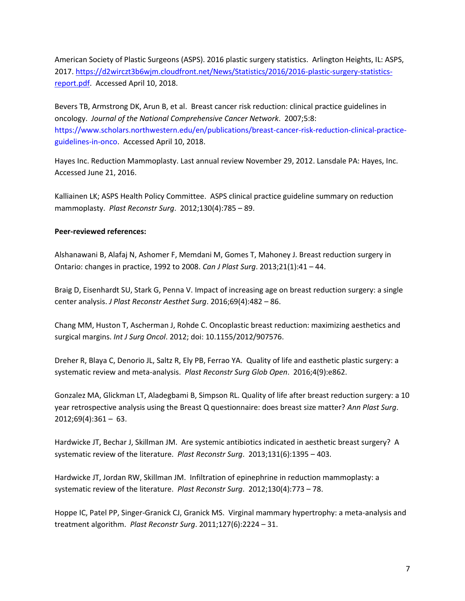American Society of Plastic Surgeons (ASPS). 2016 plastic surgery statistics. Arlington Heights, IL: ASPS, 2017[. https://d2wirczt3b6wjm.cloudfront.net/News/Statistics/2016/2016-plastic-surgery-statistics](https://d2wirczt3b6wjm.cloudfront.net/News/Statistics/2016/2016-plastic-surgery-statistics-report.pdf)[report.pdf.](https://d2wirczt3b6wjm.cloudfront.net/News/Statistics/2016/2016-plastic-surgery-statistics-report.pdf) Accessed April 10, 2018.

Bevers TB, Armstrong DK, Arun B, et al. Breast cancer risk reduction: clinical practice guidelines in oncology. *Journal of the National Comprehensive Cancer Network*. 2007;5:8: [https://www.scholars.northwestern.edu/en/publications/breast-cancer-risk-reduction-clinical-practice](https://www.scholars.northwestern.edu/en/publications/breast-cancer-risk-reduction-clinical-practice-guidelines-in-onco)[guidelines-in-onco.](https://www.scholars.northwestern.edu/en/publications/breast-cancer-risk-reduction-clinical-practice-guidelines-in-onco) Accessed April 10, 2018.

Hayes Inc. Reduction Mammoplasty. Last annual review November 29, 2012. Lansdale PA: Hayes, Inc. Accessed June 21, 2016.

Kalliainen LK; ASPS Health Policy Committee. ASPS clinical practice guideline summary on reduction mammoplasty. *Plast Reconstr Surg*. 2012;130(4):785 – 89.

#### **Peer-reviewed references:**

Alshanawani B, Alafaj N, Ashomer F, Memdani M, Gomes T, Mahoney J. Breast reduction surgery in Ontario: changes in practice, 1992 to 2008. *Can J Plast Surg*. 2013;21(1):41 – 44.

Braig D, Eisenhardt SU, Stark G, Penna V. Impact of increasing age on breast reduction surgery: a single center analysis. *J Plast Reconstr Aesthet Surg*. 2016;69(4):482 – 86.

Chang MM, Huston T, Ascherman J, Rohde C. Oncoplastic breast reduction: maximizing aesthetics and surgical margins. *Int J Surg Oncol*. 2012; doi: 10.1155/2012/907576.

Dreher R, Blaya C, Denorio JL, Saltz R, Ely PB, Ferrao YA. Quality of life and easthetic plastic surgery: a systematic review and meta-analysis. *Plast Reconstr Surg Glob Open*. 2016;4(9):e862.

Gonzalez MA, Glickman LT, Aladegbami B, Simpson RL. Quality of life after breast reduction surgery: a 10 year retrospective analysis using the Breast Q questionnaire: does breast size matter? *Ann Plast Surg*.  $2012;69(4):361 - 63.$ 

Hardwicke JT, Bechar J, Skillman JM. Are systemic antibiotics indicated in aesthetic breast surgery? A systematic review of the literature. *Plast Reconstr Surg*. 2013;131(6):1395 – 403.

Hardwicke JT, Jordan RW, Skillman JM. Infiltration of epinephrine in reduction mammoplasty: a systematic review of the literature. *Plast Reconstr Surg*. 2012;130(4):773 – 78.

Hoppe IC, Patel PP, Singer-Granick CJ, Granick MS. Virginal mammary hypertrophy: a meta-analysis and treatment algorithm. *Plast Reconstr Surg*. 2011;127(6):2224 – 31.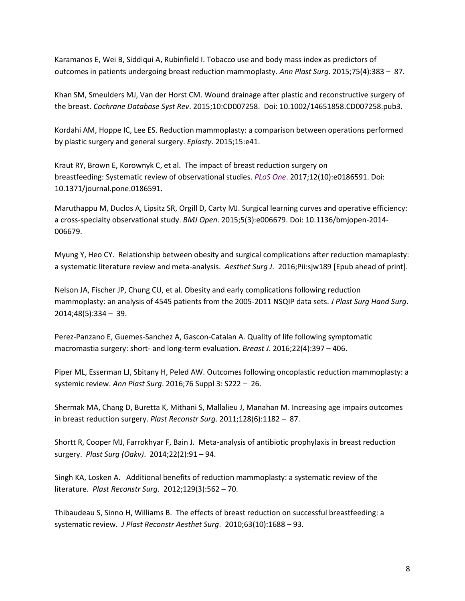Karamanos E, Wei B, Siddiqui A, Rubinfield I. Tobacco use and body mass index as predictors of outcomes in patients undergoing breast reduction mammoplasty. *Ann Plast Surg*. 2015;75(4):383 – 87.

Khan SM, Smeulders MJ, Van der Horst CM. Wound drainage after plastic and reconstructive surgery of the breast. *Cochrane Database Syst Rev*. 2015;10:CD007258. Doi: 10.1002/14651858.CD007258.pub3.

Kordahi AM, Hoppe IC, Lee ES. Reduction mammoplasty: a comparison between operations performed by plastic surgery and general surgery. *Eplasty*. 2015;15:e41.

Kraut RY, Brown E, Korownyk C, et al. The impact of breast reduction surgery on breastfeeding: Systematic review of observational studies. *[PLoS One](https://www.ncbi.nlm.nih.gov/pubmed/29049351)*. 2017;12(10):e0186591. Doi: 10.1371/journal.pone.0186591.

Maruthappu M, Duclos A, Lipsitz SR, Orgill D, Carty MJ. Surgical learning curves and operative efficiency: a cross-specialty observational study. *BMJ Open*. 2015;5(3):e006679. Doi: 10.1136/bmjopen-2014- 006679.

Myung Y, Heo CY. Relationship between obesity and surgical complications after reduction mamaplasty: a systematic literature review and meta-analysis. *Aesthet Surg J*. 2016;Pii:sjw189 [Epub ahead of print].

Nelson JA, Fischer JP, Chung CU, et al. Obesity and early complications following reduction mammoplasty: an analysis of 4545 patients from the 2005-2011 NSQIP data sets. *J Plast Surg Hand Surg*. 2014;48(5):334 – 39.

Perez-Panzano E, Guemes-Sanchez A, Gascon-Catalan A. Quality of life following symptomatic macromastia surgery: short- and long-term evaluation. *Breast J*. 2016;22(4):397 – 406.

Piper ML, Esserman LJ, Sbitany H, Peled AW. Outcomes following oncoplastic reduction mammoplasty: a systemic review. *Ann Plast Surg*. 2016;76 Suppl 3: S222 – 26.

Shermak MA, Chang D, Buretta K, Mithani S, Mallalieu J, Manahan M. Increasing age impairs outcomes in breast reduction surgery. *Plast Reconstr Surg*. 2011;128(6):1182 – 87.

Shortt R, Cooper MJ, Farrokhyar F, Bain J. Meta-analysis of antibiotic prophylaxis in breast reduction surgery. *Plast Surg (Oakv)*. 2014;22(2):91 – 94.

Singh KA, Losken A. Additional benefits of reduction mammoplasty: a systematic review of the literature. *Plast Reconstr Surg*. 2012;129(3):562 – 70.

Thibaudeau S, Sinno H, Williams B. The effects of breast reduction on successful breastfeeding: a systematic review. *J Plast Reconstr Aesthet Surg*. 2010;63(10):1688 – 93.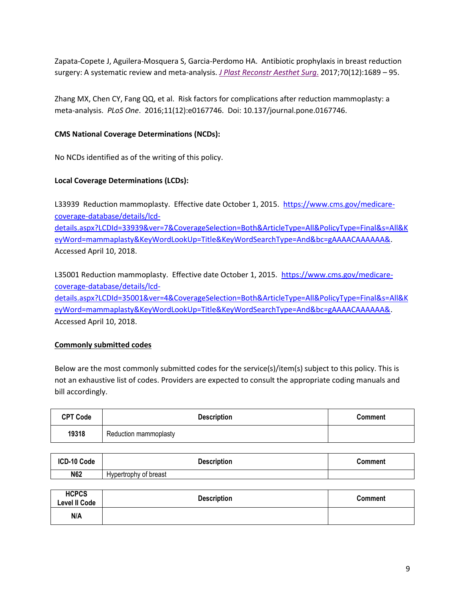Zapata-Copete J, Aguilera-Mosquera S, Garcia-Perdomo HA. Antibiotic prophylaxis in breast reduction surgery: A systematic review and meta-analysis. *[J Plast Reconstr Aesthet Surg](https://www.ncbi.nlm.nih.gov/pubmed/28890343)*. 2017;70(12):1689 – 95.

Zhang MX, Chen CY, Fang QQ, et al. Risk factors for complications after reduction mammoplasty: a meta-analysis. *PLoS One*. 2016;11(12):e0167746. Doi: 10.137/journal.pone.0167746.

#### **CMS National Coverage Determinations (NCDs):**

No NCDs identified as of the writing of this policy.

#### **Local Coverage Determinations (LCDs):**

L33939 Reduction mammoplasty. Effective date October 1, 2015. [https://www.cms.gov/medicare](https://www.cms.gov/medicare-coverage-database/details/lcd-details.aspx?LCDId=33939&ver=7&CoverageSelection=Both&ArticleType=All&PolicyType=Final&s=All&KeyWord=mammaplasty&KeyWordLookUp=Title&KeyWordSearchType=And&bc=gAAAACAAAAAA&)[coverage-database/details/lcd](https://www.cms.gov/medicare-coverage-database/details/lcd-details.aspx?LCDId=33939&ver=7&CoverageSelection=Both&ArticleType=All&PolicyType=Final&s=All&KeyWord=mammaplasty&KeyWordLookUp=Title&KeyWordSearchType=And&bc=gAAAACAAAAAA&)[details.aspx?LCDId=33939&ver=7&CoverageSelection=Both&ArticleType=All&PolicyType=Final&s=All&K](https://www.cms.gov/medicare-coverage-database/details/lcd-details.aspx?LCDId=33939&ver=7&CoverageSelection=Both&ArticleType=All&PolicyType=Final&s=All&KeyWord=mammaplasty&KeyWordLookUp=Title&KeyWordSearchType=And&bc=gAAAACAAAAAA&) [eyWord=mammaplasty&KeyWordLookUp=Title&KeyWordSearchType=And&bc=gAAAACAAAAAA&.](https://www.cms.gov/medicare-coverage-database/details/lcd-details.aspx?LCDId=33939&ver=7&CoverageSelection=Both&ArticleType=All&PolicyType=Final&s=All&KeyWord=mammaplasty&KeyWordLookUp=Title&KeyWordSearchType=And&bc=gAAAACAAAAAA&)

Accessed April 10, 2018.

L35001 Reduction mammoplasty. Effective date October 1, 2015. [https://www.cms.gov/medicare](https://www.cms.gov/medicare-coverage-database/details/lcd-details.aspx?LCDId=35001&ver=4&CoverageSelection=Both&ArticleType=All&PolicyType=Final&s=All&KeyWord=mammaplasty&KeyWordLookUp=Title&KeyWordSearchType=And&bc=gAAAACAAAAAA&)[coverage-database/details/lcd-](https://www.cms.gov/medicare-coverage-database/details/lcd-details.aspx?LCDId=35001&ver=4&CoverageSelection=Both&ArticleType=All&PolicyType=Final&s=All&KeyWord=mammaplasty&KeyWordLookUp=Title&KeyWordSearchType=And&bc=gAAAACAAAAAA&)

[details.aspx?LCDId=35001&ver=4&CoverageSelection=Both&ArticleType=All&PolicyType=Final&s=All&K](https://www.cms.gov/medicare-coverage-database/details/lcd-details.aspx?LCDId=35001&ver=4&CoverageSelection=Both&ArticleType=All&PolicyType=Final&s=All&KeyWord=mammaplasty&KeyWordLookUp=Title&KeyWordSearchType=And&bc=gAAAACAAAAAA&) [eyWord=mammaplasty&KeyWordLookUp=Title&KeyWordSearchType=And&bc=gAAAACAAAAAA&.](https://www.cms.gov/medicare-coverage-database/details/lcd-details.aspx?LCDId=35001&ver=4&CoverageSelection=Both&ArticleType=All&PolicyType=Final&s=All&KeyWord=mammaplasty&KeyWordLookUp=Title&KeyWordSearchType=And&bc=gAAAACAAAAAA&) Accessed April 10, 2018.

#### **Commonly submitted codes**

Below are the most commonly submitted codes for the service(s)/item(s) subject to this policy. This is not an exhaustive list of codes. Providers are expected to consult the appropriate coding manuals and bill accordingly.

| <b>CPT Code</b> | <b>Description</b>    | Comment |
|-----------------|-----------------------|---------|
| 19318           | Reduction mammoplasty |         |

| ICD-10 Code | <b>Description</b>    | Comment |
|-------------|-----------------------|---------|
| N62         | Hypertrophy of breast |         |

| <b>HCPCS</b><br><b>Level II Code</b> | <b>Description</b> | <b>Comment</b> |
|--------------------------------------|--------------------|----------------|
| N/A                                  |                    |                |